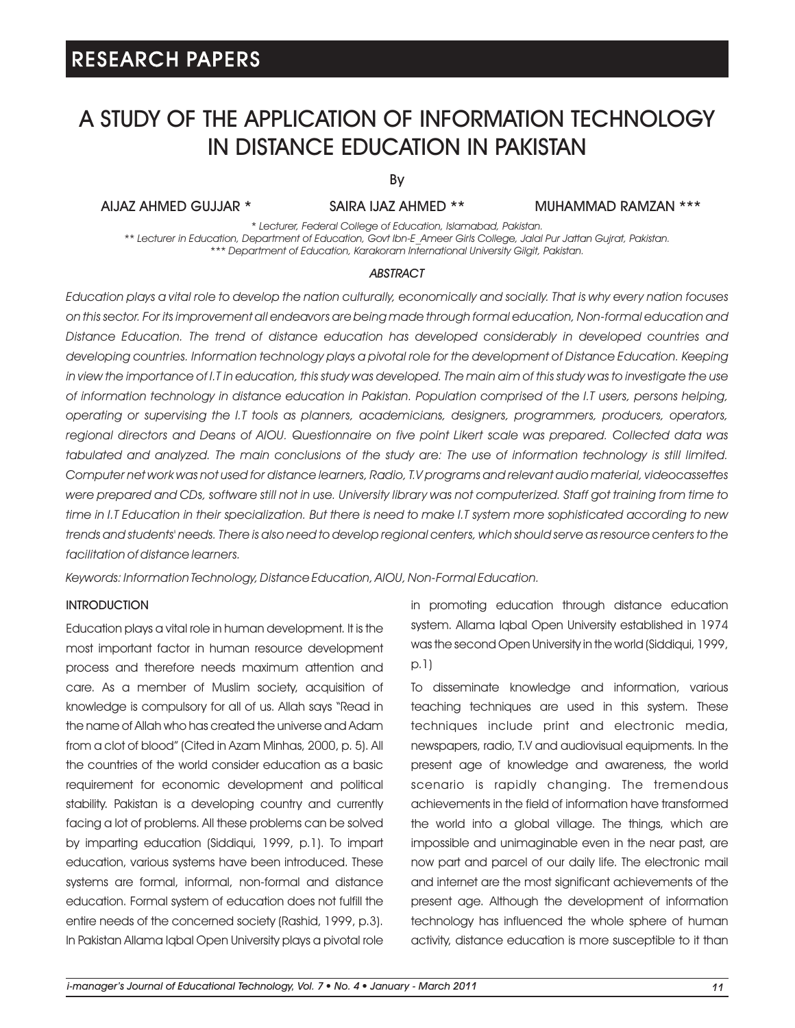# A STUDY OF THE APPLICATION OF INFORMATION TECHNOLOGY IN DISTANCE EDUCATION IN PAKISTAN

By

## SAIRA IJAZ AHMED \*\*

AIJAZ AHMED GUJJAR \* MUHAMMAD RAMZAN \*\*\*

*\* Lecturer, Federal College of Education, Islamabad, Pakistan. \*\* Lecturer in Education, Department of Education, Govt Ibn-E\_Ameer Girls College, Jalal Pur Jattan Gujrat, Pakistan. \*\*\* Department of Education, Karakoram International University Gilgit, Pakistan.*

#### *ABSTRACT*

*Education plays a vital role to develop the nation culturally, economically and socially. That is why every nation focuses on this sector. For its improvement all endeavors are being made through formal education, Non-formal education and Distance Education. The trend of distance education has developed considerably in developed countries and developing countries. Information technology plays a pivotal role for the development of Distance Education. Keeping*  in view the importance of I.T in education, this study was developed. The main aim of this study was to investigate the use *of information technology in distance education in Pakistan. Population comprised of the I.T users, persons helping, operating or supervising the I.T tools as planners, academicians, designers, programmers, producers, operators,*  regional directors and Deans of AIOU. Questionnaire on five point Likert scale was prepared. Collected data was *tabulated and analyzed. The main conclusions of the study are: The use of information technology is still limited. Computer net work was not used for distance learners, Radio, T.V programs and relevant audio material, videocassettes were prepared and CDs, software still not in use. University library was not computerized. Staff got training from time to time in I.T Education in their specialization. But there is need to make I.T system more sophisticated according to new trends and students' needs. There is also need to develop regional centers, which should serve as resource centers to the facilitation of distance learners.*

*Keywords: Information Technology, Distance Education, AIOU, Non-Formal Education.*

#### **INTRODUCTION**

Education plays a vital role in human development. It is the most important factor in human resource development process and therefore needs maximum attention and care. As a member of Muslim society, acquisition of knowledge is compulsory for all of us. Allah says "Read in the name of Allah who has created the universe and Adam from a clot of blood" (Cited in Azam Minhas, 2000, p. 5). All the countries of the world consider education as a basic requirement for economic development and political stability. Pakistan is a developing country and currently facing a lot of problems. All these problems can be solved by imparting education (Siddiqui, 1999, p.1). To impart education, various systems have been introduced. These systems are formal, informal, non-formal and distance education. Formal system of education does not fulfill the entire needs of the concerned society (Rashid, 1999, p.3). In Pakistan Allama Iqbal Open University plays a pivotal role in promoting education through distance education system. Allama Iqbal Open University established in 1974 was the second Open University in the world (Siddiqui, 1999, p.1)

To disseminate knowledge and information, various teaching techniques are used in this system. These techniques include print and electronic media, newspapers, radio, T.V and audiovisual equipments. In the present age of knowledge and awareness, the world scenario is rapidly changing. The tremendous achievements in the field of information have transformed the world into a global village. The things, which are impossible and unimaginable even in the near past, are now part and parcel of our daily life. The electronic mail and internet are the most significant achievements of the present age. Although the development of information technology has influenced the whole sphere of human activity, distance education is more susceptible to it than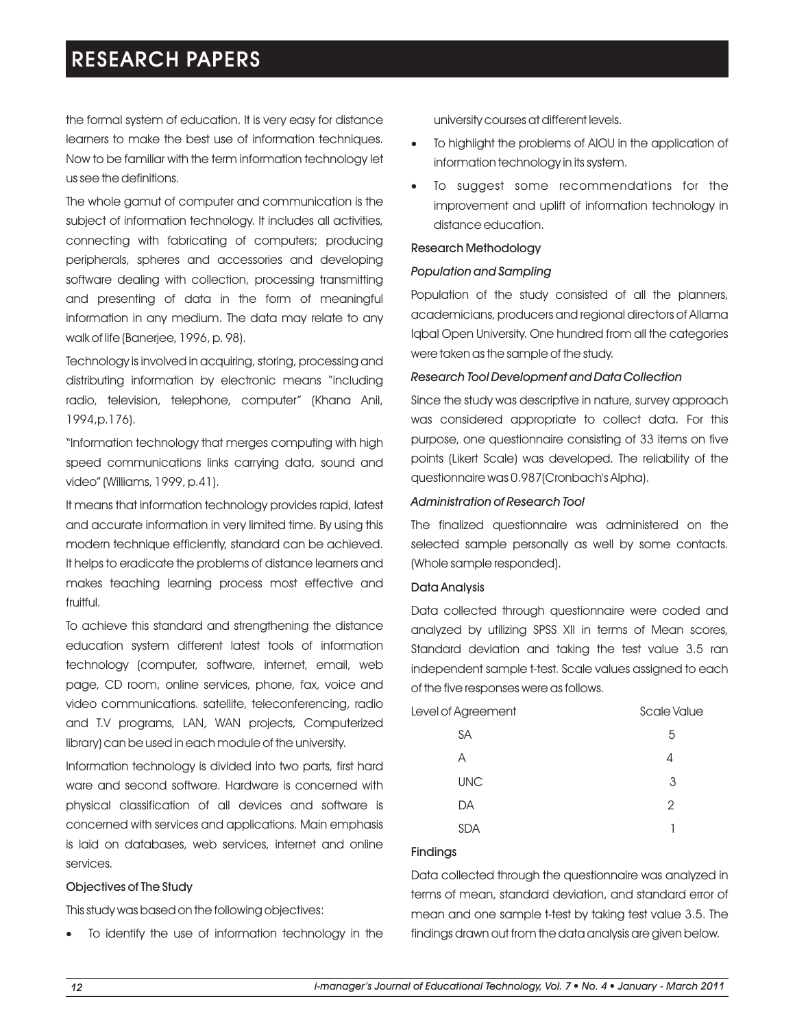the formal system of education. It is very easy for distance learners to make the best use of information techniques. Now to be familiar with the term information technology let us see the definitions.

The whole gamut of computer and communication is the subject of information technology. It includes all activities, connecting with fabricating of computers; producing peripherals, spheres and accessories and developing software dealing with collection, processing transmitting and presenting of data in the form of meaningful information in any medium. The data may relate to any walk of life (Banerjee, 1996, p. 98).

Technology is involved in acquiring, storing, processing and distributing information by electronic means "including radio, television, telephone, computer" (Khana Anil, 1994,p.176).

"Information technology that merges computing with high speed communications links carrying data, sound and video" (Williams, 1999, p.41).

It means that information technology provides rapid, latest and accurate information in very limited time. By using this modern technique efficiently, standard can be achieved. It helps to eradicate the problems of distance learners and makes teaching learning process most effective and fruitful.

To achieve this standard and strengthening the distance education system different latest tools of information technology (computer, software, internet, email, web page, CD room, online services, phone, fax, voice and video communications. satellite, teleconferencing, radio and T.V programs, LAN, WAN projects, Computerized library) can be used in each module of the university.

Information technology is divided into two parts, first hard ware and second software. Hardware is concerned with physical classification of all devices and software is concerned with services and applications. Main emphasis is laid on databases, web services, internet and online services.

## Objectives of The Study

This study was based on the following objectives:

To identify the use of information technology in the

university courses at different levels.

- To highlight the problems of AIOU in the application of information technology in its system.
- To suggest some recommendations for the improvement and uplift of information technology in distance education.

### Research Methodology

## *Population and Sampling*

Population of the study consisted of all the planners, academicians, producers and regional directors of Allama Iqbal Open University. One hundred from all the categories were taken as the sample of the study.

## *Research Tool Development and Data Collection*

Since the study was descriptive in nature, survey approach was considered appropriate to collect data. For this purpose, one questionnaire consisting of 33 items on five points (Likert Scale) was developed. The reliability of the questionnaire was 0.987(Cronbach's Alpha).

### *Administration of Research Tool*

The finalized questionnaire was administered on the selected sample personally as well by some contacts. (Whole sample responded).

### Data Analysis

Data collected through questionnaire were coded and analyzed by utilizing SPSS XII in terms of Mean scores, Standard deviation and taking the test value 3.5 ran independent sample t-test. Scale values assigned to each of the five responses were as follows.

Level of Agreement Scale Value SA 5  $A$  4 UNC 3 DA 2 SDA 1

## Findings

Data collected through the questionnaire was analyzed in terms of mean, standard deviation, and standard error of mean and one sample t-test by taking test value 3.5. The findings drawn out from the data analysis are given below.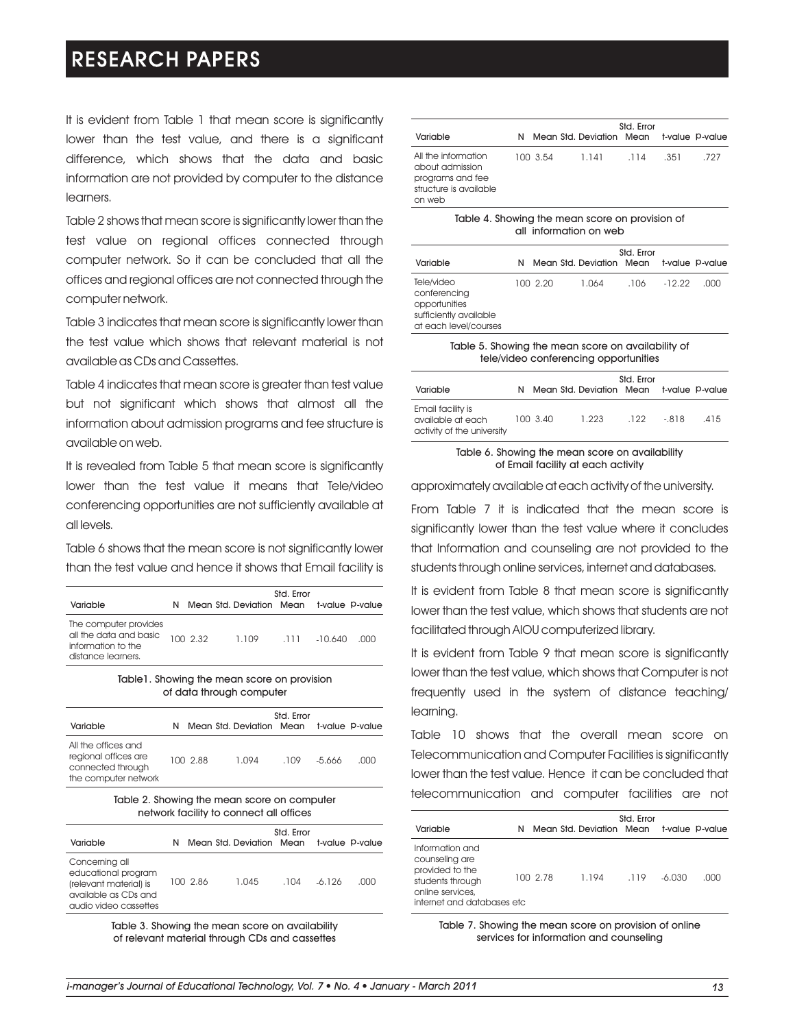It is evident from Table 1 that mean score is significantly lower than the test value, and there is a significant difference, which shows that the data and basic information are not provided by computer to the distance learners.

Table 2 shows that mean score is significantly lower than the test value on regional offices connected through computer network. So it can be concluded that all the offices and regional offices are not connected through the computer network.

Table 3 indicates that mean score is significantly lower than the test value which shows that relevant material is not available as CDs and Cassettes.

Table 4 indicates that mean score is greater than test value but not significant which shows that almost all the information about admission programs and fee structure is available on web.

It is revealed from Table 5 that mean score is significantly lower than the test value it means that Tele/video conferencing opportunities are not sufficiently available at all levels.

Table 6 shows that the mean score is not significantly lower than the test value and hence it shows that Email facility is

| Variable                                                                                    |          | Mean Std. Deviation Mean t-value P-value | Std. Error |           |     |
|---------------------------------------------------------------------------------------------|----------|------------------------------------------|------------|-----------|-----|
| The computer provides<br>all the data and basic<br>information to the<br>distance learners. | 100 2.32 | 1.109                                    | .111       | $-10.640$ | nnn |

Table1. Showing the mean score on provision of data through computer

| Variable                                                                                 | N |          | Mean Std. Deviation Mean | Std. Error |        | t-value P-value |
|------------------------------------------------------------------------------------------|---|----------|--------------------------|------------|--------|-----------------|
| All the offices and<br>regional offices are<br>connected through<br>the computer network |   | 100 2.88 | 1.094                    | .109       | -5.666 | നന              |

#### Table 2. Showing the mean score on computer network facility to connect all offices

| Variable                                                                                                         | N |          | Mean Std. Deviation Mean | Std. Error |        | t-value P-value |
|------------------------------------------------------------------------------------------------------------------|---|----------|--------------------------|------------|--------|-----------------|
| Concerning all<br>educational program<br>(relevant material) is<br>available as CDs and<br>audio video cassettes |   | 100 2.86 | 1.045                    | .104       | -6.126 | നന              |

Table 3. Showing the mean score on availability of relevant material through CDs and cassettes

| Variable                                                                                       |          | N Mean Std. Deviation Mean t-value P-value | Std. Error |      |      |
|------------------------------------------------------------------------------------------------|----------|--------------------------------------------|------------|------|------|
| All the information<br>about admission<br>programs and fee<br>structure is available<br>on web | 100 3.54 | 1.141                                      | .114       | .351 | .727 |

|  |                        | Table 4. Showing the mean score on provision of |
|--|------------------------|-------------------------------------------------|
|  | all information on web |                                                 |

| Variable                                                                                       | N. |          | Mean Std. Deviation Mean | Std. Error |          | t-value P-value |
|------------------------------------------------------------------------------------------------|----|----------|--------------------------|------------|----------|-----------------|
| Tele/video<br>conferencing<br>opportunities<br>sufficiently available<br>at each level/courses |    | 100 2.20 | 1.064                    | .106       | $-12.22$ | .nnn            |

Table 5. Showing the mean score on availability of tele/video conferencing opportunities

| Variable                                                             | N. |          | Mean Std. Deviation Mean | Std. Error |         | t-value P-value |
|----------------------------------------------------------------------|----|----------|--------------------------|------------|---------|-----------------|
| Email facility is<br>available at each<br>activity of the university |    | 100 3.40 | 1.223                    | .122       | $-.818$ | .415            |

#### Table 6. Showing the mean score on availability of Email facility at each activity

approximately available at each activity of the university.

From Table 7 it is indicated that the mean score is significantly lower than the test value where it concludes that Information and counseling are not provided to the students through online services, internet and databases.

It is evident from Table 8 that mean score is significantly lower than the test value, which shows that students are not facilitated through AIOU computerized library.

It is evident from Table 9 that mean score is significantly lower than the test value, which shows that Computer is not frequently used in the system of distance teaching/ learning.

Table 10 shows that the overall mean score on Telecommunication and Computer Facilities is significantly lower than the test value. Hence it can be concluded that telecommunication and computer facilities are not

| Variable                                                                                                                    | N |          | Mean Std. Deviation Mean t-value P-value | Std. Error |          |      |
|-----------------------------------------------------------------------------------------------------------------------------|---|----------|------------------------------------------|------------|----------|------|
| Information and<br>counseling are<br>provided to the<br>students through<br>online services,<br>internet and databases etc. |   | 100 2.78 | 1.194                                    | .119       | $-6.030$ | .000 |

Table 7. Showing the mean score on provision of online services for information and counseling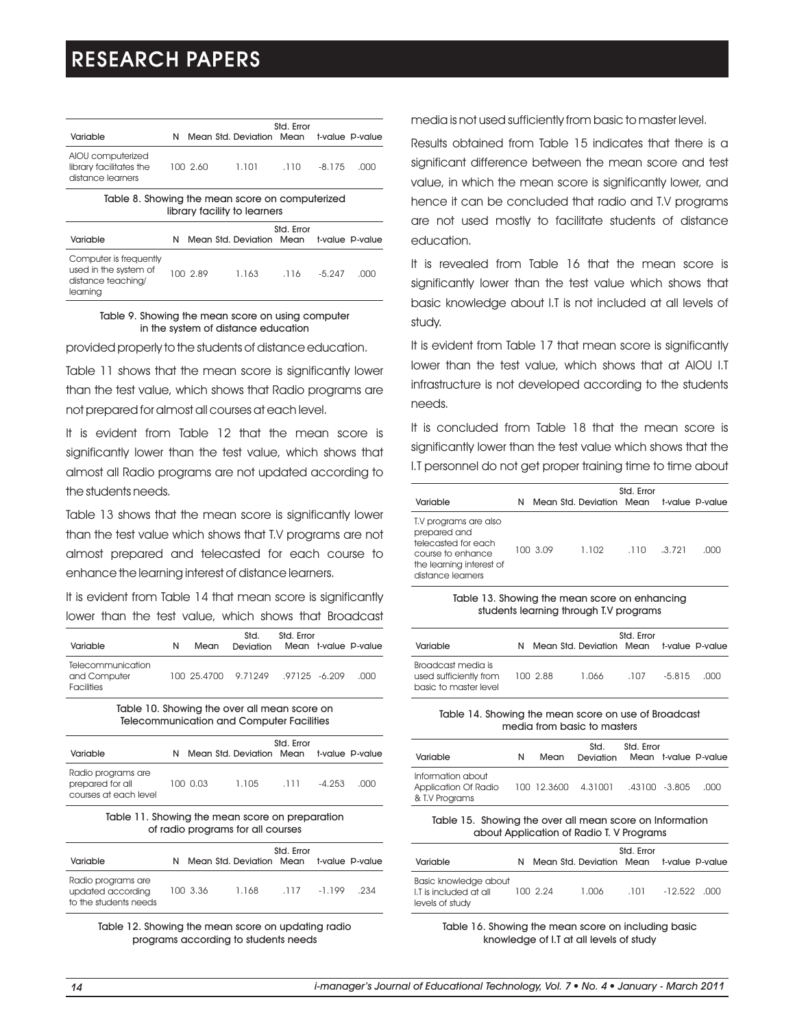| Variable                                                                          | N |          | Mean Std. Deviation Mean | Std. Error |          | t-value P-value |  |  |
|-----------------------------------------------------------------------------------|---|----------|--------------------------|------------|----------|-----------------|--|--|
| AIOU computerized<br>library facilitates the<br>distance learners                 |   | 100 2.60 | 1.101                    | .110       | $-8.175$ | .000            |  |  |
| Table 8. Showing the mean score on computerized<br>library facility to learners   |   |          |                          |            |          |                 |  |  |
| Variable                                                                          | Ν |          | Mean Std. Deviation Mean | Std. Error |          | t-value P-value |  |  |
| Computer is frequently<br>used in the system of<br>distance teaching/<br>learning |   | 100 2.89 | 1.163                    | .116       | $-5.247$ | .000            |  |  |

#### Table 9. Showing the mean score on using computer in the system of distance education

provided properly to the students of distance education.

Table 11 shows that the mean score is significantly lower than the test value, which shows that Radio programs are not prepared for almost all courses at each level.

It is evident from Table 12 that the mean score is significantly lower than the test value, which shows that almost all Radio programs are not updated according to the students needs.

Table 13 shows that the mean score is significantly lower than the test value which shows that T.V programs are not almost prepared and telecasted for each course to enhance the learning interest of distance learners.

It is evident from Table 14 that mean score is significantly lower than the test value, which shows that Broadcast

| Variable                                               | N | Mean | Std.<br>Deviation                | Std. Error | Mean t-value P-value |
|--------------------------------------------------------|---|------|----------------------------------|------------|----------------------|
| Telecommunication<br>and Computer<br><b>Facilities</b> |   |      | 100 25.4700 9.71249 97125 -6.209 |            | ാററ                  |

Table 10. Showing the over all mean score on Telecommunication and Computer Facilities

| Variable                                                        |          | Mean Std. Deviation Mean | Std. Error |          | t-value P-value |
|-----------------------------------------------------------------|----------|--------------------------|------------|----------|-----------------|
| Radio programs are<br>prepared for all<br>courses at each level | 100 0.03 | 1.105                    | -111       | $-4.253$ | .nnn            |

#### Table 11. Showing the mean score on preparation of radio programs for all courses

| Variable                                                         |          | Mean Std. Deviation Mean | Std. Error |        | t-value P-value |
|------------------------------------------------------------------|----------|--------------------------|------------|--------|-----------------|
| Radio programs are<br>updated according<br>to the students needs | 100 3.36 | 1.168                    | .117       | -1.199 | .234            |

Table 12. Showing the mean score on updating radio programs according to students needs

media is not used sufficiently from basic to master level.

Results obtained from Table 15 indicates that there is a significant difference between the mean score and test value, in which the mean score is significantly lower, and hence it can be concluded that radio and T.V programs are not used mostly to facilitate students of distance education.

It is revealed from Table 16 that the mean score is significantly lower than the test value which shows that basic knowledge about I.T is not included at all levels of study.

It is evident from Table 17 that mean score is significantly lower than the test value, which shows that at AIOU I.T infrastructure is not developed according to the students needs.

It is concluded from Table 18 that the mean score is significantly lower than the test value which shows that the I.T personnel do not get proper training time to time about

|                                                                                                                                    |   |          |                                          | Std. Error |          |    |
|------------------------------------------------------------------------------------------------------------------------------------|---|----------|------------------------------------------|------------|----------|----|
| Variable                                                                                                                           | N |          | Mean Std. Deviation Mean t-value P-value |            |          |    |
| T.V programs are also<br>prepared and<br>telecasted for each<br>course to enhance<br>the learning interest of<br>distance learners |   | 100 3.09 | 1.102                                    | .110       | $-3.721$ | നന |

Table 13. Showing the mean score on enhancing students learning through T.V programs

| Variable                                                              |          | N Mean Std. Deviation Mean t-value P-value | Std. Error |          |      |
|-----------------------------------------------------------------------|----------|--------------------------------------------|------------|----------|------|
| Broadcast media is<br>used sufficiently from<br>basic to master level | 100 2.88 | 1.066                                      | .107       | $-5.815$ | .nnn |

#### Table 14. Showing the mean score on use of Broadcast media from basic to masters

| Variable                                                    | N | Mean | Std.<br>Deviation   | Std. Error    | Mean t-value P-value |
|-------------------------------------------------------------|---|------|---------------------|---------------|----------------------|
| Information about<br>Application Of Radio<br>& T.V Programs |   |      | 100 12.3600 4.31001 | .43100 -3.805 | .nnn                 |

#### Table 15. Showing the over all mean score on Information about Application of Radio T. V Programs

| Variable                                                                  |          | Mean Std. Deviation Mean t-value P-value | Std. Error |               |  |
|---------------------------------------------------------------------------|----------|------------------------------------------|------------|---------------|--|
| <b>Basic knowledge about</b><br>I.T is included at all<br>levels of study | 100 2.24 | 1.006                                    | .101       | $-12.522$ 000 |  |

Table 16. Showing the mean score on including basic knowledge of I.T at all levels of study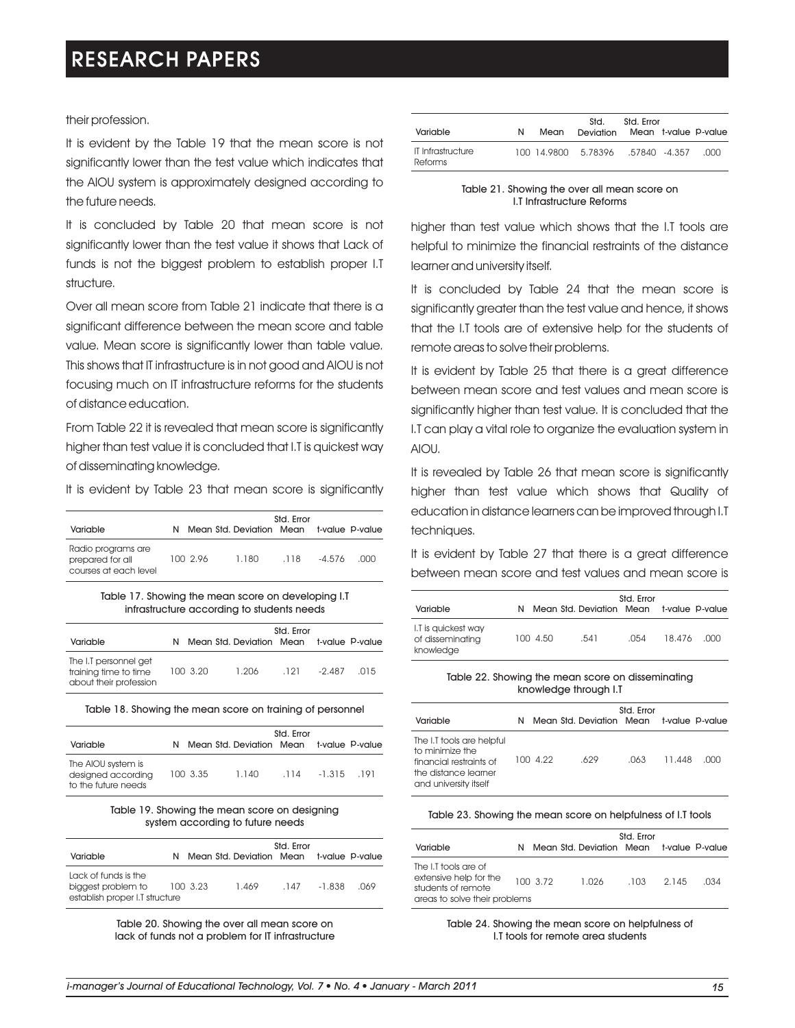### their profession.

It is evident by the Table 19 that the mean score is not significantly lower than the test value which indicates that the AIOU system is approximately designed according to the future needs.

It is concluded by Table 20 that mean score is not significantly lower than the test value it shows that Lack of funds is not the biggest problem to establish proper I.T structure.

Over all mean score from Table 21 indicate that there is a significant difference between the mean score and table value. Mean score is significantly lower than table value. This shows that IT infrastructure is in not good and AIOU is not focusing much on IT infrastructure reforms for the students of distance education.

From Table 22 it is revealed that mean score is significantly higher than test value it is concluded that I.T is quickest way of disseminating knowledge.

It is evident by Table 23 that mean score is significantly

| Variable                                                        | N |          | Mean Std. Deviation Mean | Std. Error |        | t-value P-value |
|-----------------------------------------------------------------|---|----------|--------------------------|------------|--------|-----------------|
| Radio programs are<br>prepared for all<br>courses at each level |   | 100 2.96 | 1.180                    | .118       | -4.576 | .nnn            |

Table 17. Showing the mean score on developing I.T infrastructure according to students needs

| Variable                                                                 | N |          | Mean Std. Deviation Mean | Std. Error |        | t-value P-value |
|--------------------------------------------------------------------------|---|----------|--------------------------|------------|--------|-----------------|
| The I.T personnel get<br>training time to time<br>about their profession |   | 100 3.20 | 1.206                    | .121       | -2.487 | .015            |

Table 18. Showing the mean score on training of personnel

| Variable                                                        |          | N Mean Std. Deviation Mean t-value P-value | Std. Error |            |  |
|-----------------------------------------------------------------|----------|--------------------------------------------|------------|------------|--|
| The AIOU system is<br>designed according<br>to the future needs | 100 3.35 | 1.140                                      | .114       | -1.315 191 |  |

Table 19. Showing the mean score on designing system according to future needs

| Variable                                                                     |          | N Mean Std. Deviation Mean | Std. Error |          | t-value <b>P-value</b> |
|------------------------------------------------------------------------------|----------|----------------------------|------------|----------|------------------------|
| Lack of funds is the<br>biggest problem to<br>establish proper I.T structure | 100 3.23 | 1.469                      | .147       | $-1.838$ | 069                    |

Table 20. Showing the over all mean score on lack of funds not a problem for IT infrastructure

| Variable                            | N | Mean | Std.<br>Deviation Mean t-value P-value | Std. Frror |      |
|-------------------------------------|---|------|----------------------------------------|------------|------|
| <b>IT Infrastructure</b><br>Reforms |   |      | 100 14.9800 5.78396 .57840 -4.357      |            | .nnn |

| Table 21. Showing the over all mean score on |                            |  |  |
|----------------------------------------------|----------------------------|--|--|
|                                              | I.T Infrastructure Reforms |  |  |

higher than test value which shows that the I.T tools are helpful to minimize the financial restraints of the distance learner and university itself.

It is concluded by Table 24 that the mean score is significantly greater than the test value and hence, it shows that the I.T tools are of extensive help for the students of remote areas to solve their problems.

It is evident by Table 25 that there is a great difference between mean score and test values and mean score is significantly higher than test value. It is concluded that the I.T can play a vital role to organize the evaluation system in AIOU.

It is revealed by Table 26 that mean score is significantly higher than test value which shows that Quality of education in distance learners can be improved through I.T techniques.

It is evident by Table 27 that there is a great difference between mean score and test values and mean score is

| Variable                                             | N. |          | Mean Std. Deviation Mean | Std. Error |        | t-value P-value |
|------------------------------------------------------|----|----------|--------------------------|------------|--------|-----------------|
| I.T is quickest way<br>of disseminating<br>knowledge |    | 100 4.50 | .541                     | .054       | 18.476 |                 |

#### Table 22. Showing the mean score on disseminating knowledge through I.T

| Variable                                                                                                                 | N |          | Mean Std. Deviation Mean | Std. Error |        | t-value <b>P</b> -value |
|--------------------------------------------------------------------------------------------------------------------------|---|----------|--------------------------|------------|--------|-------------------------|
| The I.T tools are helpful<br>to minimize the<br>financial restraints of<br>the distance learner<br>and university itself |   | 100 4.22 | .629                     | .063       | 11.448 | .nnn                    |

#### Table 23. Showing the mean score on helpfulness of I.T tools

| Variable                                                                                              | N |          | Mean Std. Deviation Mean | Std. Error |       | t-value <b>P</b> -value |
|-------------------------------------------------------------------------------------------------------|---|----------|--------------------------|------------|-------|-------------------------|
| The I.T tools are of<br>extensive help for the<br>students of remote<br>areas to solve their problems |   | 100 3.72 | 1.026                    | .103       | 2.145 | .034                    |

Table 24. Showing the mean score on helpfulness of I.T tools for remote area students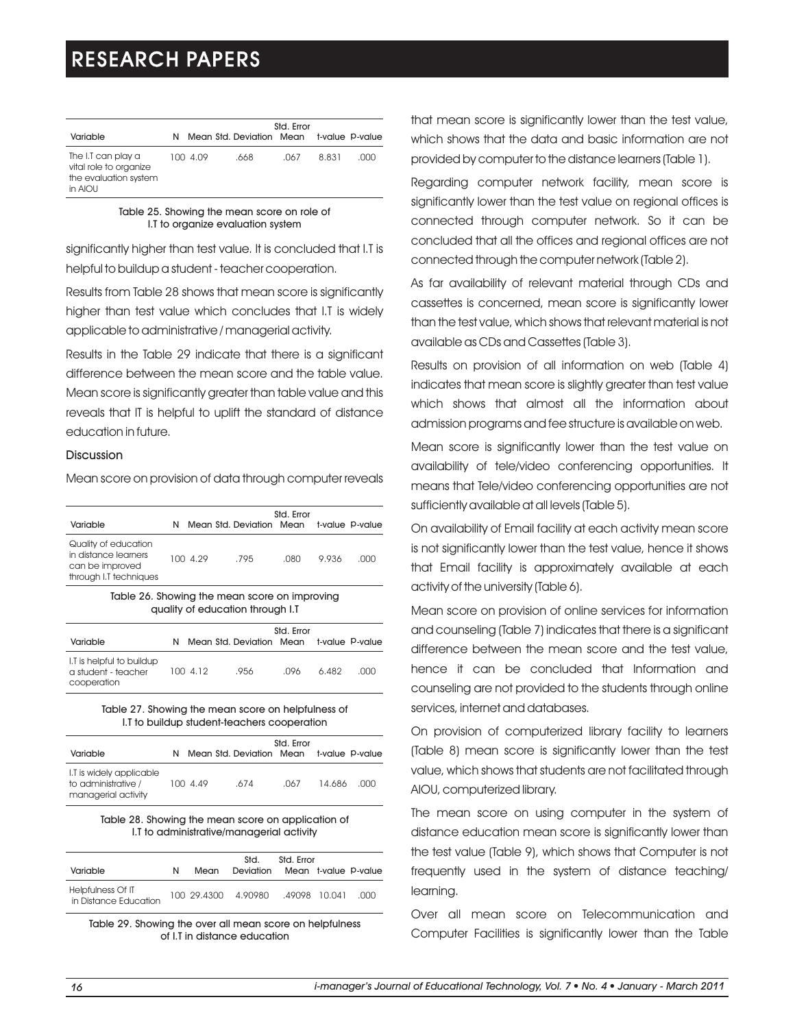| Variable                                                                         | N |          | Mean Std. Deviation Mean | Std. Error |       | t-value P-value |
|----------------------------------------------------------------------------------|---|----------|--------------------------|------------|-------|-----------------|
| The I.T can play a<br>vital role to organize<br>the evaluation system<br>in AIOU |   | 100 4.09 | .668                     | .067       | 8.831 | .000            |

Table 25. Showing the mean score on role of I.T to organize evaluation system

significantly higher than test value. It is concluded that I.T is helpful to buildup a student - teacher cooperation.

Results from Table 28 shows that mean score is significantly higher than test value which concludes that I.T is widely applicable to administrative / managerial activity.

Results in the Table 29 indicate that there is a significant difference between the mean score and the table value. Mean score is significantly greater than table value and this reveals that IT is helpful to uplift the standard of distance education in future.

## **Discussion**

Mean score on provision of data through computer reveals

| Variable                                                                                  | N |          | Mean Std. Deviation Mean | Std. Error |       | t-value P-value |
|-------------------------------------------------------------------------------------------|---|----------|--------------------------|------------|-------|-----------------|
| Quality of education<br>in distance learners<br>can be improved<br>through I.T techniques |   | 100 4.29 | .795                     | .N8O       | 9.936 | .000            |

Table 26. Showing the mean score on improving quality of education through I.T

| Variable                                                        | N |          | Mean Std. Deviation Mean t-value P-value | Std. Error |       |      |
|-----------------------------------------------------------------|---|----------|------------------------------------------|------------|-------|------|
| I.T is helpful to buildup<br>a student - teacher<br>cooperation |   | 100 4.12 | .956                                     | .096       | 6.482 | .nnn |

#### Table 27. Showing the mean score on helpfulness of I.T to buildup student-teachers cooperation

| Variable                                                               |          | Mean Std. Deviation Mean | Std. Error | t-value P-value |       |
|------------------------------------------------------------------------|----------|--------------------------|------------|-----------------|-------|
| I.T is widely applicable<br>to administrative /<br>managerial activity | 100 4.49 | .674                     | .067       | 14.686          | . വാവ |

#### Table 28. Showing the mean score on application of I.T to administrative/managerial activity

| Variable                                   | N | Mean | Std.<br>Deviation                 | Std. Error | Mean t-value P-value |
|--------------------------------------------|---|------|-----------------------------------|------------|----------------------|
| Helpfulness Of IT<br>in Distance Education |   |      | 100 29.4300 4.90980 .49098 10.041 |            | . NUU                |

Table 29. Showing the over all mean score on helpfulness of I.T in distance education

that mean score is significantly lower than the test value, which shows that the data and basic information are not provided by computer to the distance learners (Table 1).

Regarding computer network facility, mean score is significantly lower than the test value on regional offices is connected through computer network. So it can be concluded that all the offices and regional offices are not connected through the computer network (Table 2).

As far availability of relevant material through CDs and cassettes is concerned, mean score is significantly lower than the test value, which shows that relevant material is not available as CDs and Cassettes (Table 3).

Results on provision of all information on web (Table 4) indicates that mean score is slightly greater than test value which shows that almost all the information about admission programs and fee structure is available on web.

Mean score is significantly lower than the test value on availability of tele/video conferencing opportunities. It means that Tele/video conferencing opportunities are not sufficiently available at all levels (Table 5).

On availability of Email facility at each activity mean score is not significantly lower than the test value, hence it shows that Email facility is approximately available at each activity of the university (Table 6).

Mean score on provision of online services for information and counseling (Table 7) indicates that there is a significant difference between the mean score and the test value, hence it can be concluded that Information and counseling are not provided to the students through online services, internet and databases.

On provision of computerized library facility to learners (Table 8) mean score is significantly lower than the test value, which shows that students are not facilitated through AIOU, computerized library.

The mean score on using computer in the system of distance education mean score is significantly lower than the test value (Table 9), which shows that Computer is not frequently used in the system of distance teaching/ learning.

Over all mean score on Telecommunication and Computer Facilities is significantly lower than the Table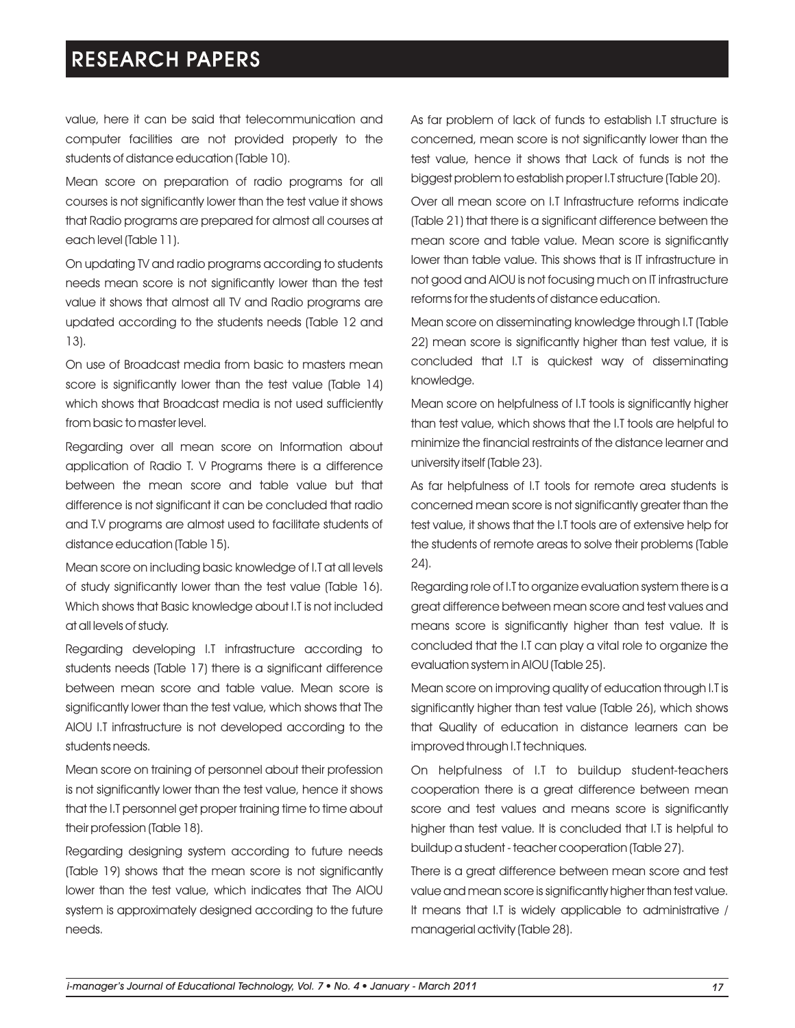value, here it can be said that telecommunication and computer facilities are not provided properly to the students of distance education (Table 10).

Mean score on preparation of radio programs for all courses is not significantly lower than the test value it shows that Radio programs are prepared for almost all courses at each level (Table 11).

On updating TV and radio programs according to students needs mean score is not significantly lower than the test value it shows that almost all TV and Radio programs are updated according to the students needs (Table 12 and 13).

On use of Broadcast media from basic to masters mean score is significantly lower than the test value (Table 14) which shows that Broadcast media is not used sufficiently from basic to master level.

Regarding over all mean score on Information about application of Radio T. V Programs there is a difference between the mean score and table value but that difference is not significant it can be concluded that radio and T.V programs are almost used to facilitate students of distance education (Table 15).

Mean score on including basic knowledge of I.T at all levels of study significantly lower than the test value (Table 16). Which shows that Basic knowledge about I.T is not included at all levels of study.

Regarding developing I.T infrastructure according to students needs (Table 17) there is a significant difference between mean score and table value. Mean score is significantly lower than the test value, which shows that The AIOU I.T infrastructure is not developed according to the students needs.

Mean score on training of personnel about their profession is not significantly lower than the test value, hence it shows that the I.T personnel get proper training time to time about their profession (Table 18).

Regarding designing system according to future needs (Table 19) shows that the mean score is not significantly lower than the test value, which indicates that The AIOU system is approximately designed according to the future needs.

As far problem of lack of funds to establish I.T structure is concerned, mean score is not significantly lower than the test value, hence it shows that Lack of funds is not the biggest problem to establish proper I.T structure (Table 20).

Over all mean score on I.T Infrastructure reforms indicate (Table 21) that there is a significant difference between the mean score and table value. Mean score is significantly lower than table value. This shows that is IT infrastructure in not good and AIOU is not focusing much on IT infrastructure reforms for the students of distance education.

Mean score on disseminating knowledge through I.T (Table 22) mean score is significantly higher than test value, it is concluded that I.T is quickest way of disseminating knowledge.

Mean score on helpfulness of I.T tools is significantly higher than test value, which shows that the I.T tools are helpful to minimize the financial restraints of the distance learner and university itself (Table 23).

As far helpfulness of I.T tools for remote area students is concerned mean score is not significantly greater than the test value, it shows that the I.T tools are of extensive help for the students of remote areas to solve their problems (Table 24).

Regarding role of I.T to organize evaluation system there is a great difference between mean score and test values and means score is significantly higher than test value. It is concluded that the I.T can play a vital role to organize the evaluation system in AIOU (Table 25).

Mean score on improving quality of education through I.T is significantly higher than test value (Table 26), which shows that Quality of education in distance learners can be improved through I.T techniques.

On helpfulness of I.T to buildup student-teachers cooperation there is a great difference between mean score and test values and means score is significantly higher than test value. It is concluded that I.T is helpful to buildup a student - teacher cooperation (Table 27).

There is a great difference between mean score and test value and mean score is significantly higher than test value. It means that I.T is widely applicable to administrative / managerial activity (Table 28).